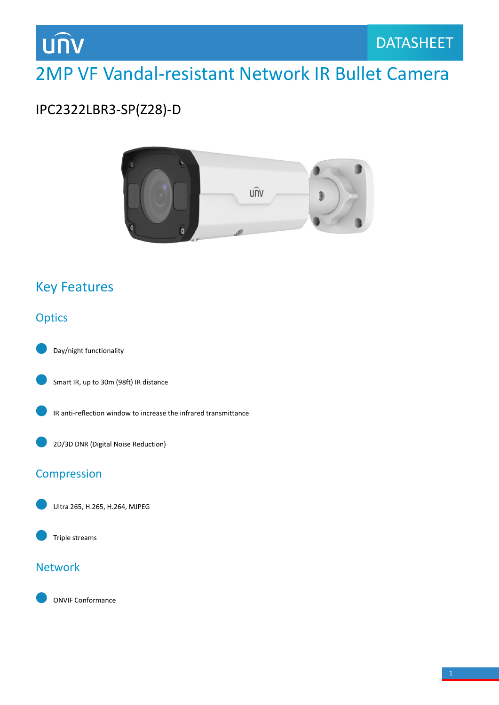

## 2MP VF Vandal-resistant Network IR Bullet Camera

## IPC2322LBR3-SP(Z28)-D



### Key Features

### **Optics**





IR anti-reflection window to increase the infrared transmittance



#### Compression

Ultra 265, H.265, H.264, MJPEG



#### Network

ONVIF Conformance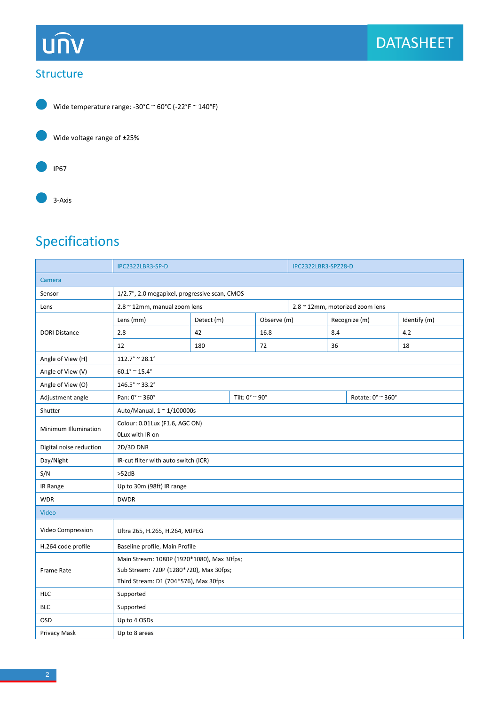# **UNV**

#### Structure



Wide temperature range: -30°C ~ 60°C (-22°F ~ 140°F)

Wide voltage range of ±25%



3-Axis

## Specifications

|                         | IPC2322LBR3-SP-D                                  |            |  | IPC2322LBR3-SPZ28-D              |  |               |                   |              |  |
|-------------------------|---------------------------------------------------|------------|--|----------------------------------|--|---------------|-------------------|--------------|--|
| Camera                  |                                                   |            |  |                                  |  |               |                   |              |  |
| Sensor                  | 1/2.7", 2.0 megapixel, progressive scan, CMOS     |            |  |                                  |  |               |                   |              |  |
| Lens                    | 2.8 ~ 12mm, manual zoom lens                      |            |  | 2.8 ~ 12mm, motorized zoom lens  |  |               |                   |              |  |
| <b>DORI Distance</b>    | Lens (mm)                                         | Detect (m) |  | Observe (m)                      |  | Recognize (m) |                   | Identify (m) |  |
|                         | 2.8                                               | 42         |  | 16.8                             |  | 8.4           |                   | 4.2          |  |
|                         | 12                                                | 180        |  | 72                               |  | 36            |                   | 18           |  |
| Angle of View (H)       | $112.7^{\circ} \approx 28.1^{\circ}$              |            |  |                                  |  |               |                   |              |  |
| Angle of View (V)       | $60.1^\circ \cong 15.4^\circ$                     |            |  |                                  |  |               |                   |              |  |
| Angle of View (O)       | $146.5^{\circ} \approx 33.2^{\circ}$              |            |  |                                  |  |               |                   |              |  |
| Adjustment angle        | Pan: 0° ~ 360°                                    |            |  | Tilt: $0^\circ \approx 90^\circ$ |  |               | Rotate: 0° ~ 360° |              |  |
| Shutter                 | Auto/Manual, 1 ~ 1/100000s                        |            |  |                                  |  |               |                   |              |  |
| Minimum Illumination    | Colour: 0.01Lux (F1.6, AGC ON)<br>OLux with IR on |            |  |                                  |  |               |                   |              |  |
| Digital noise reduction | 2D/3D DNR                                         |            |  |                                  |  |               |                   |              |  |
| Day/Night               | IR-cut filter with auto switch (ICR)              |            |  |                                  |  |               |                   |              |  |
| S/N                     | >52dB                                             |            |  |                                  |  |               |                   |              |  |
| IR Range                | Up to 30m (98ft) IR range                         |            |  |                                  |  |               |                   |              |  |
| <b>WDR</b>              | <b>DWDR</b>                                       |            |  |                                  |  |               |                   |              |  |
| Video                   |                                                   |            |  |                                  |  |               |                   |              |  |
| Video Compression       | Ultra 265, H.265, H.264, MJPEG                    |            |  |                                  |  |               |                   |              |  |
| H.264 code profile      | Baseline profile, Main Profile                    |            |  |                                  |  |               |                   |              |  |
| <b>Frame Rate</b>       | Main Stream: 1080P (1920*1080), Max 30fps;        |            |  |                                  |  |               |                   |              |  |
|                         | Sub Stream: 720P (1280*720), Max 30fps;           |            |  |                                  |  |               |                   |              |  |
|                         | Third Stream: D1 (704*576), Max 30fps             |            |  |                                  |  |               |                   |              |  |
| <b>HLC</b>              | Supported                                         |            |  |                                  |  |               |                   |              |  |
| <b>BLC</b>              | Supported                                         |            |  |                                  |  |               |                   |              |  |
| <b>OSD</b>              | Up to 4 OSDs                                      |            |  |                                  |  |               |                   |              |  |
| Privacy Mask            | Up to 8 areas                                     |            |  |                                  |  |               |                   |              |  |